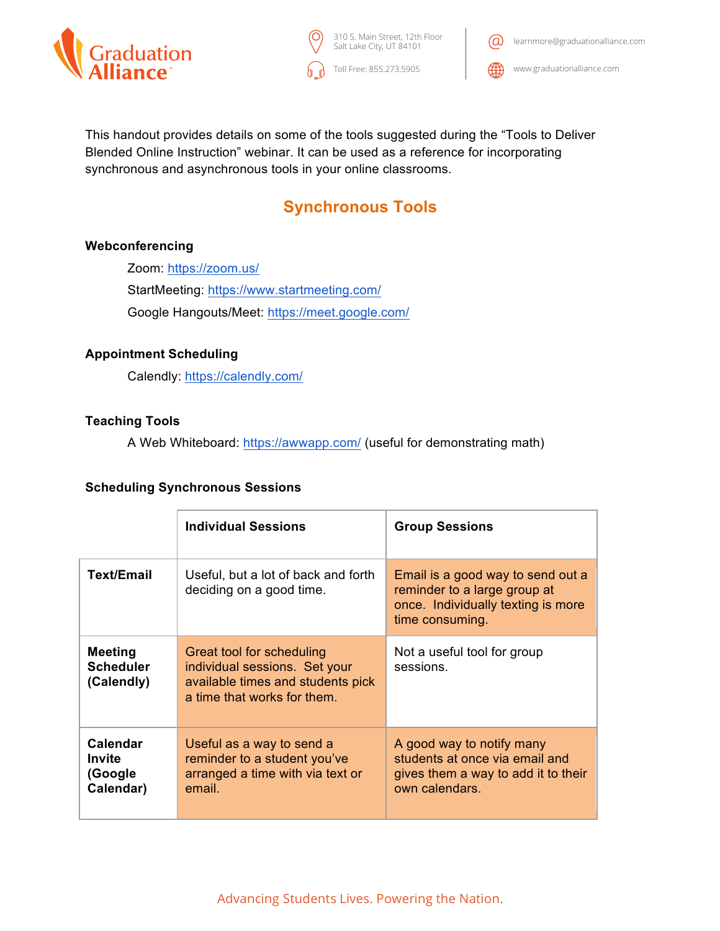

Toll Free: 855.273.5905 310 S. Main Street, 12th Floor Salt Lake City, UT 84101



This handout provides details on some of the tools suggested during the "Tools to Deliver Blended Online Instruction" webinar. It can be used as a reference for incorporating synchronous and asynchronous tools in your online classrooms.

# **Synchronous Tools**

# **Webconferencing**

Zoom: https://zoom.us/ StartMeeting: https://www.startmeeting.com/ Google Hangouts/Meet: https://meet.google.com/

# **Appointment Scheduling**

Calendly: https://calendly.com/

# **Teaching Tools**

A Web Whiteboard: https://awwapp.com/ (useful for demonstrating math)

#### **Scheduling Synchronous Sessions**

|                                                   | <b>Individual Sessions</b>                                                                                                     | <b>Group Sessions</b>                                                                                                      |
|---------------------------------------------------|--------------------------------------------------------------------------------------------------------------------------------|----------------------------------------------------------------------------------------------------------------------------|
| Text/Email                                        | Useful, but a lot of back and forth<br>deciding on a good time.                                                                | Email is a good way to send out a<br>reminder to a large group at<br>once. Individually texting is more<br>time consuming. |
| <b>Meeting</b><br><b>Scheduler</b><br>(Calendly)  | Great tool for scheduling<br>individual sessions. Set your<br>available times and students pick<br>a time that works for them. | Not a useful tool for group<br>sessions.                                                                                   |
| <b>Calendar</b><br>Invite<br>(Google<br>Calendar) | Useful as a way to send a<br>reminder to a student you've<br>arranged a time with via text or<br>email.                        | A good way to notify many<br>students at once via email and<br>gives them a way to add it to their<br>own calendars.       |